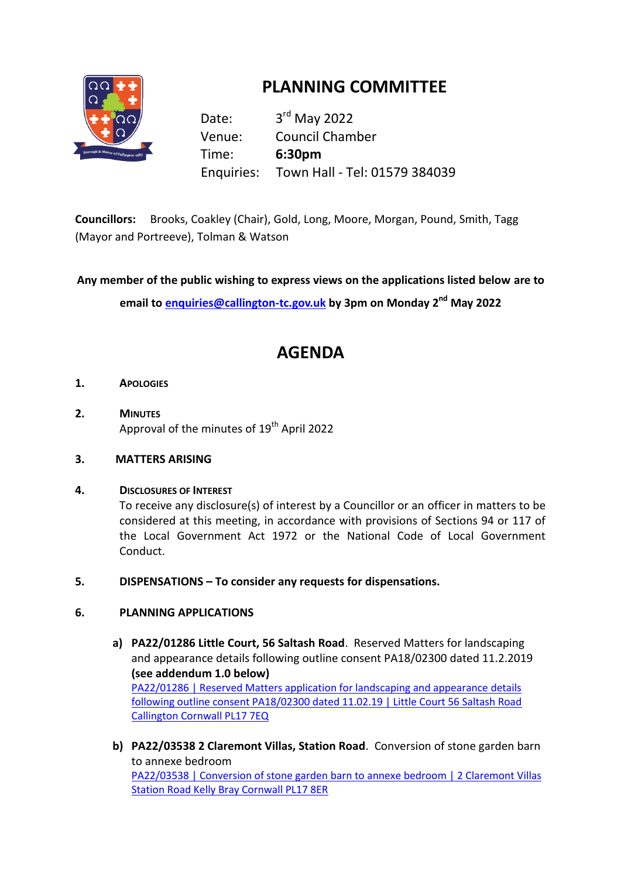

# **PLANNING COMMITTEE**

Date: 3<sup>rd</sup> May 2022 Venue: Council Chamber Time: **6:30pm** Enquiries: Town Hall - Tel: 01579 384039

**Councillors:** Brooks, Coakley (Chair), Gold, Long, Moore, Morgan, Pound, Smith, Tagg (Mayor and Portreeve), Tolman & Watson

**Any member of the public wishing to express views on the applications listed below are to**

**email to [enquiries@callington](mailto:enquiries@callington-tc.gov.uk)-tc.gov.uk by 3pm on Monday 2 nd May 2022**

## **AGENDA**

- **1. APOLOGIES**
- **2. MINUTES**  Approval of the minutes of 19<sup>th</sup> April 2022

#### **3. MATTERS ARISING**

**4. DISCLOSURES OF INTEREST**

To receive any disclosure(s) of interest by a Councillor or an officer in matters to be considered at this meeting, in accordance with provisions of Sections 94 or 117 of the Local Government Act 1972 or the National Code of Local Government Conduct.

**5. DISPENSATIONS – To consider any requests for dispensations.**

#### **6. PLANNING APPLICATIONS**

- **a) PA22/01286 Little Court, 56 Saltash Road**. Reserved Matters for landscaping and appearance details following outline consent PA18/02300 dated 11.2.2019 **(see addendum 1.0 below)** [PA22/01286 | Reserved Matters application for landscaping and appearance details](https://planning.cornwall.gov.uk/online-applications/applicationDetails.do?activeTab=documents&keyVal=R6ZVERFGLCP00&prevPage=inTray)  [following outline consent PA18/02300 dated 11.02.19 | Little Court 56 Saltash Road](https://planning.cornwall.gov.uk/online-applications/applicationDetails.do?activeTab=documents&keyVal=R6ZVERFGLCP00&prevPage=inTray)  [Callington Cornwall PL17 7EQ](https://planning.cornwall.gov.uk/online-applications/applicationDetails.do?activeTab=documents&keyVal=R6ZVERFGLCP00&prevPage=inTray)
- **b) PA22/03538 2 Claremont Villas, Station Road**. Conversion of stone garden barn to annexe bedroom [PA22/03538 | Conversion of stone garden barn to annexe bedroom | 2 Claremont Villas](https://planning.cornwall.gov.uk/online-applications/applicationDetails.do?activeTab=documents&keyVal=RA4DAQFGIQL00&prevPage=inTray)  [Station Road Kelly Bray Cornwall PL17 8ER](https://planning.cornwall.gov.uk/online-applications/applicationDetails.do?activeTab=documents&keyVal=RA4DAQFGIQL00&prevPage=inTray)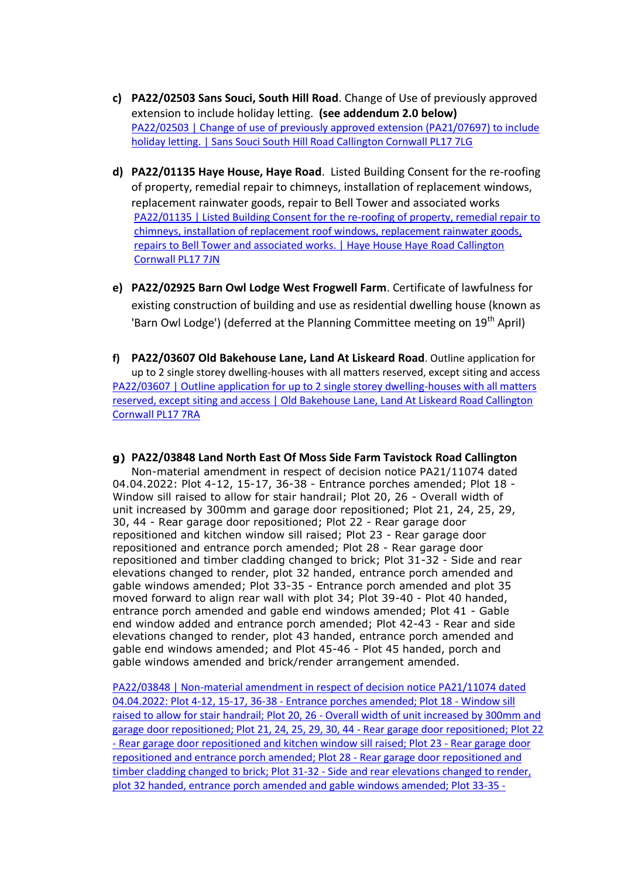- **c) PA22/02503 Sans Souci, South Hill Road**. Change of Use of previously approved extension to include holiday letting. **(see addendum 2.0 below)** [PA22/02503 | Change of use of previously approved extension \(PA21/07697\) to include](https://planning.cornwall.gov.uk/online-applications/applicationDetails.do?activeTab=documents&keyVal=R8KOUNFG1OU00&prevPage=inTray)  [holiday letting. | Sans Souci South Hill Road Callington Cornwall PL17 7LG](https://planning.cornwall.gov.uk/online-applications/applicationDetails.do?activeTab=documents&keyVal=R8KOUNFG1OU00&prevPage=inTray)
- **d) PA22/01135 Haye House, Haye Road**. Listed Building Consent for the re-roofing of property, remedial repair to chimneys, installation of replacement windows, replacement rainwater goods, repair to Bell Tower and associated works [PA22/01135 | Listed Building Consent for the re-roofing of property, remedial repair to](https://planning.cornwall.gov.uk/online-applications/applicationDetails.do?activeTab=documents&keyVal=R6W0MMFGIK800&prevPage=inTray)  [chimneys, installation of replacement roof windows, replacement rainwater goods,](https://planning.cornwall.gov.uk/online-applications/applicationDetails.do?activeTab=documents&keyVal=R6W0MMFGIK800&prevPage=inTray)  [repairs to Bell Tower and associated works. | Haye House Haye Road Callington](https://planning.cornwall.gov.uk/online-applications/applicationDetails.do?activeTab=documents&keyVal=R6W0MMFGIK800&prevPage=inTray)  [Cornwall PL17 7JN](https://planning.cornwall.gov.uk/online-applications/applicationDetails.do?activeTab=documents&keyVal=R6W0MMFGIK800&prevPage=inTray)
- **e) PA22/02925 Barn Owl Lodge West Frogwell Farm**. Certificate of lawfulness for existing construction of building and use as residential dwelling house (known as 'Barn Owl Lodge') (deferred at the Planning Committee meeting on  $19<sup>th</sup>$  April)
- **f) PA22/03607 Old Bakehouse Lane, Land At Liskeard Road**. Outline application for up to 2 single storey dwelling-houses with all matters reserved, except siting and access [PA22/03607 | Outline application for up to 2 single storey dwelling-houses with all matters](https://planning.cornwall.gov.uk/online-applications/applicationDetails.do?activeTab=documents&keyVal=RA7U7JFGL4H00)  [reserved, except siting and access | Old Bakehouse Lane, Land At Liskeard Road Callington](https://planning.cornwall.gov.uk/online-applications/applicationDetails.do?activeTab=documents&keyVal=RA7U7JFGL4H00)  [Cornwall PL17 7RA](https://planning.cornwall.gov.uk/online-applications/applicationDetails.do?activeTab=documents&keyVal=RA7U7JFGL4H00)
- **g) PA22/03848 Land North East Of Moss Side Farm Tavistock Road Callington**  Non-material amendment in respect of decision notice PA21/11074 dated 04.04.2022: Plot 4-12, 15-17, 36-38 - Entrance porches amended; Plot 18 - Window sill raised to allow for stair handrail; Plot 20, 26 - Overall width of unit increased by 300mm and garage door repositioned; Plot 21, 24, 25, 29, 30, 44 - Rear garage door repositioned; Plot 22 - Rear garage door repositioned and kitchen window sill raised; Plot 23 - Rear garage door repositioned and entrance porch amended; Plot 28 - Rear garage door repositioned and timber cladding changed to brick; Plot 31-32 - Side and rear elevations changed to render, plot 32 handed, entrance porch amended and gable windows amended; Plot 33-35 - Entrance porch amended and plot 35 moved forward to align rear wall with plot 34; Plot 39-40 - Plot 40 handed, entrance porch amended and gable end windows amended; Plot 41 - Gable end window added and entrance porch amended; Plot 42-43 - Rear and side elevations changed to render, plot 43 handed, entrance porch amended and gable end windows amended; and Plot 45-46 - Plot 45 handed, porch and gable windows amended and brick/render arrangement amended.

[PA22/03848 | Non-material amendment in respect of decision notice PA21/11074 dated](https://planning.cornwall.gov.uk/online-applications/applicationDetails.do?activeTab=documents&keyVal=RAOFHIFGGI400)  04.04.2022: Plot 4-12, 15-17, 36-38 - [Entrance porches amended; Plot 18 -](https://planning.cornwall.gov.uk/online-applications/applicationDetails.do?activeTab=documents&keyVal=RAOFHIFGGI400) Window sill raised to allow for stair handrail; Plot 20, 26 - [Overall width of unit increased by 300mm and](https://planning.cornwall.gov.uk/online-applications/applicationDetails.do?activeTab=documents&keyVal=RAOFHIFGGI400)  [garage door repositioned; Plot 21, 24, 25, 29, 30, 44 -](https://planning.cornwall.gov.uk/online-applications/applicationDetails.do?activeTab=documents&keyVal=RAOFHIFGGI400) Rear garage door repositioned; Plot 22 - [Rear garage door repositioned and kitchen window sill raised; Plot 23 -](https://planning.cornwall.gov.uk/online-applications/applicationDetails.do?activeTab=documents&keyVal=RAOFHIFGGI400) Rear garage door [repositioned and entrance porch amended; Plot 28 -](https://planning.cornwall.gov.uk/online-applications/applicationDetails.do?activeTab=documents&keyVal=RAOFHIFGGI400) Rear garage door repositioned and [timber cladding changed to brick; Plot 31-32 -](https://planning.cornwall.gov.uk/online-applications/applicationDetails.do?activeTab=documents&keyVal=RAOFHIFGGI400) Side and rear elevations changed to render, [plot 32 handed, entrance porch amended and gable windows amended; Plot 33-35 -](https://planning.cornwall.gov.uk/online-applications/applicationDetails.do?activeTab=documents&keyVal=RAOFHIFGGI400)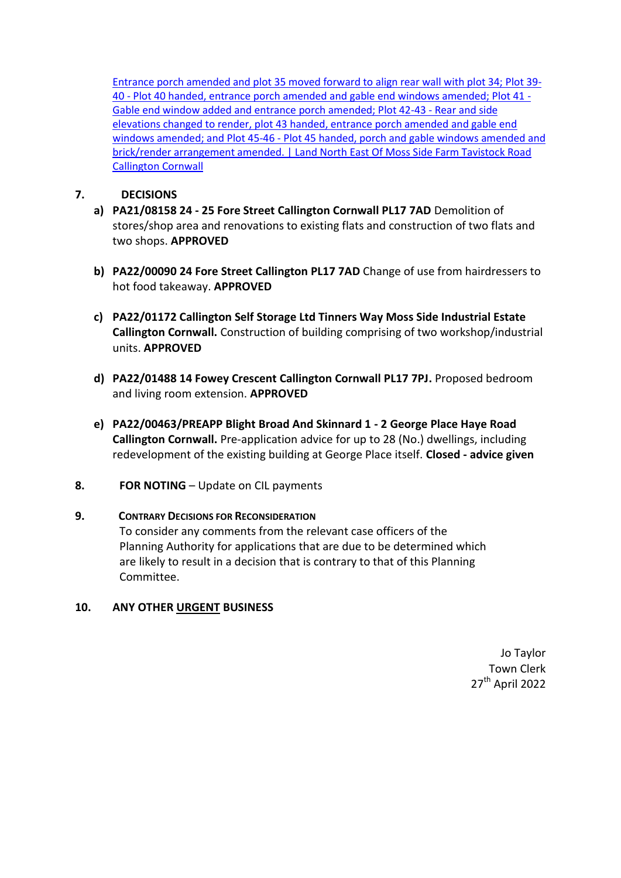[Entrance porch amended and plot 35 moved forward to align rear wall with plot 34; Plot 39-](https://planning.cornwall.gov.uk/online-applications/applicationDetails.do?activeTab=documents&keyVal=RAOFHIFGGI400) 40 - [Plot 40 handed, entrance porch amended and gable end windows amended; Plot 41 -](https://planning.cornwall.gov.uk/online-applications/applicationDetails.do?activeTab=documents&keyVal=RAOFHIFGGI400) [Gable end window added and entrance porch amended; Plot 42-43 -](https://planning.cornwall.gov.uk/online-applications/applicationDetails.do?activeTab=documents&keyVal=RAOFHIFGGI400) Rear and side [elevations changed to render, plot 43 handed, entrance porch amended and gable end](https://planning.cornwall.gov.uk/online-applications/applicationDetails.do?activeTab=documents&keyVal=RAOFHIFGGI400)  windows amended; and Plot 45-46 - [Plot 45 handed, porch and gable windows amended and](https://planning.cornwall.gov.uk/online-applications/applicationDetails.do?activeTab=documents&keyVal=RAOFHIFGGI400)  [brick/render arrangement amended. | Land North East Of Moss Side Farm Tavistock Road](https://planning.cornwall.gov.uk/online-applications/applicationDetails.do?activeTab=documents&keyVal=RAOFHIFGGI400)  [Callington Cornwall](https://planning.cornwall.gov.uk/online-applications/applicationDetails.do?activeTab=documents&keyVal=RAOFHIFGGI400)

#### **7. DECISIONS**

- **a) PA21/08158 24 - 25 Fore Street Callington Cornwall PL17 7AD** Demolition of stores/shop area and renovations to existing flats and construction of two flats and two shops. **APPROVED**
- **b) PA22/00090 24 Fore Street Callington PL17 7AD** Change of use from hairdressers to hot food takeaway. **APPROVED**
- **c) PA22/01172 Callington Self Storage Ltd Tinners Way Moss Side Industrial Estate Callington Cornwall.** Construction of building comprising of two workshop/industrial units. **APPROVED**
- **d) PA22/01488 14 Fowey Crescent Callington Cornwall PL17 7PJ.** Proposed bedroom and living room extension. **APPROVED**
- **e) PA22/00463/PREAPP Blight Broad And Skinnard 1 - 2 George Place Haye Road Callington Cornwall.** Pre-application advice for up to 28 (No.) dwellings, including redevelopment of the existing building at George Place itself. **Closed - advice given**
- **8. FOR NOTING** Update on CIL payments

#### **9. CONTRARY DECISIONS FOR RECONSIDERATION**

To consider any comments from the relevant case officers of the Planning Authority for applications that are due to be determined which are likely to result in a decision that is contrary to that of this Planning Committee.

#### **10. ANY OTHER URGENT BUSINESS**

Jo Taylor Town Clerk 27<sup>th</sup> April 2022